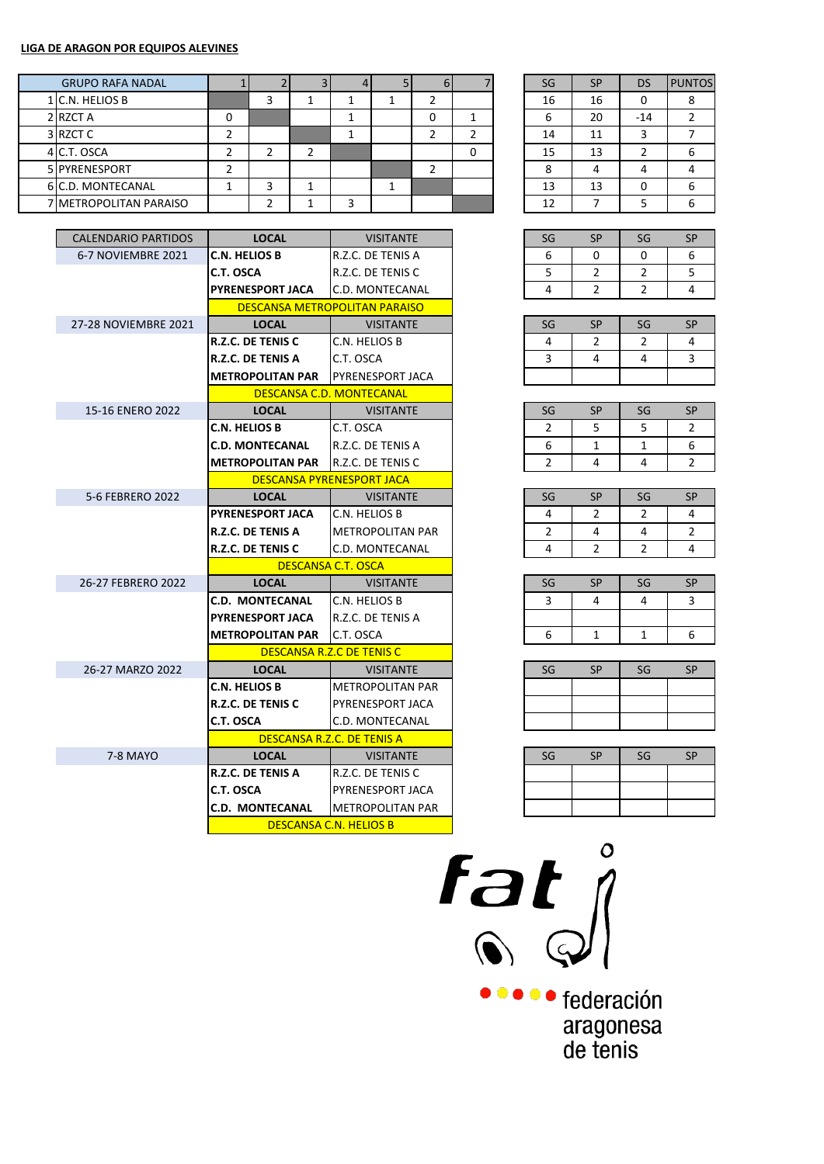## **LIGA DE ARAGON POR EQUIPOS ALEVINES**

| <b>GRUPO RAFA NADAL</b> |  |  | O |  | SG | <b>SP</b> | <b>DS</b> | <b>PUNTOS</b> |
|-------------------------|--|--|---|--|----|-----------|-----------|---------------|
| 1 C.N. HELIOS B         |  |  |   |  | 16 | 16        | 0         |               |
| 2 RZCT A                |  |  |   |  |    | 20        | $-14$     |               |
| 3 RZCT C                |  |  |   |  | 14 | 11        | 3         |               |
| 4 C.T. OSCA             |  |  |   |  | 15 | 13        |           |               |
| 5 PYRENESPORT           |  |  |   |  | o  |           | 4         |               |
| 6 C.D. MONTECANAL       |  |  |   |  | 13 | 13        | 0         |               |
| 7 METROPOLITAN PARAISO  |  |  |   |  | 12 |           |           |               |

| <b>CALENDARIO PARTIDOS</b> | <b>LOCAL</b>             | <b>VISITANTE</b>                     | SG             | <b>SP</b>      | SG             |  |
|----------------------------|--------------------------|--------------------------------------|----------------|----------------|----------------|--|
| 6-7 NOVIEMBRE 2021         | <b>C.N. HELIOS B</b>     | R.Z.C. DE TENIS A                    | 6              | $\Omega$       | 0              |  |
|                            | C.T. OSCA                | R.Z.C. DE TENIS C                    | 5              | $\overline{2}$ | 2              |  |
|                            | <b>PYRENESPORT JACA</b>  | C.D. MONTECANAL                      | 4              | 2              | 2              |  |
|                            |                          | <b>DESCANSA METROPOLITAN PARAISO</b> |                |                |                |  |
| 27-28 NOVIEMBRE 2021       | <b>LOCAL</b>             | <b>VISITANTE</b>                     | SG             | <b>SP</b>      | SG             |  |
|                            | R.Z.C. DE TENIS C        | C.N. HELIOS B                        | 4              | 2              | 2              |  |
|                            | <b>R.Z.C. DE TENIS A</b> | C.T. OSCA                            | 3              | 4              | 4              |  |
|                            | <b>METROPOLITAN PAR</b>  | PYRENESPORT JACA                     |                |                |                |  |
|                            |                          | <b>DESCANSA C.D. MONTECANAL</b>      |                |                |                |  |
| 15-16 ENERO 2022           | <b>LOCAL</b>             | <b>VISITANTE</b>                     | SG             | <b>SP</b>      | SG             |  |
|                            | C.N. HELIOS B            | C.T. OSCA                            | 2              | 5              | 5              |  |
|                            | <b>C.D. MONTECANAL</b>   | R.Z.C. DE TENIS A                    | 6              | 1              | $\mathbf{1}$   |  |
|                            | <b>METROPOLITAN PAR</b>  | <b>IR.Z.C. DE TENIS C</b>            | 2              | 4              | 4              |  |
|                            |                          | <b>DESCANSA PYRENESPORT JACA</b>     |                |                |                |  |
| 5-6 FEBRERO 2022           | <b>LOCAL</b>             | <b>VISITANTE</b>                     | SG             | <b>SP</b>      | SG             |  |
|                            | <b>PYRENESPORT JACA</b>  | C.N. HELIOS B                        | 4              | $\overline{2}$ | 2              |  |
|                            | <b>R.Z.C. DE TENIS A</b> | <b>METROPOLITAN PAR</b>              | $\overline{2}$ | 4              | 4              |  |
|                            | R.Z.C. DE TENIS C        | C.D. MONTECANAL                      | 4              | $\overline{2}$ | $\overline{2}$ |  |
|                            |                          | <b>DESCANSA C.T. OSCA</b>            |                |                |                |  |
| 26-27 FEBRERO 2022         | <b>LOCAL</b>             | <b>VISITANTE</b>                     | SG             | <b>SP</b>      | SG             |  |
|                            | <b>C.D. MONTECANAL</b>   | C.N. HELIOS B                        | 3              | 4              | 4              |  |
|                            | <b>PYRENESPORT JACA</b>  | R.Z.C. DE TENIS A                    |                |                |                |  |
|                            | <b>METROPOLITAN PAR</b>  | C.T. OSCA                            | 6              | 1              | 1              |  |
|                            |                          | DESCANSA R.Z.C DE TENIS C            |                |                |                |  |
| 26-27 MARZO 2022           | <b>LOCAL</b>             | <b>VISITANTE</b>                     | SG             | <b>SP</b>      | SG             |  |
|                            | <b>C.N. HELIOS B</b>     | <b>METROPOLITAN PAR</b>              |                |                |                |  |
|                            | R.Z.C. DE TENIS C        | <b>PYRENESPORT JACA</b>              |                |                |                |  |
|                            | C.T. OSCA                | C.D. MONTECANAL                      |                |                |                |  |
|                            |                          | DESCANSA R.Z.C. DE TENIS A           |                |                |                |  |
| 7-8 MAYO                   | <b>LOCAL</b>             | <b>VISITANTE</b>                     | SG             | <b>SP</b>      | SG             |  |
|                            | <b>R.Z.C. DE TENIS A</b> | R.Z.C. DE TENIS C                    |                |                |                |  |
|                            | C.T. OSCA                | <b>PYRENESPORT JACA</b>              |                |                |                |  |
|                            | <b>C.D. MONTECANAL</b>   | <b>METROPOLITAN PAR</b>              |                |                |                |  |
|                            |                          | <b>DESCANSA C.N. HELIOS B</b>        |                |                |                |  |

| SG | <b>SP</b> | <b>DS</b> | <b>PUNTOS</b>  |
|----|-----------|-----------|----------------|
| 16 | 16        | 0         | 8              |
| 6  | 20        | $-14$     | $\overline{2}$ |
| 14 | 11        | 3         |                |
| 15 | 13        | 2         | 6              |
| 8  | 4         |           |                |
| 13 | 13        | 0         |                |
| 12 |           | 5         |                |

| SG | SΡ | SG | <b>SD</b> |
|----|----|----|-----------|
|    |    |    | հ         |
|    |    |    | п         |
|    |    |    |           |

| SG | SΡ | SG | <b>SP</b> |
|----|----|----|-----------|
|    |    |    |           |
|    |    |    |           |
|    |    |    |           |

| SG | SΡ | SG | SP |
|----|----|----|----|
|    |    | ۰, |    |
| 6  |    |    | հ  |
|    |    |    |    |

| SG | SΡ | SG | SΡ |
|----|----|----|----|
|    |    |    |    |
|    |    |    |    |
|    |    |    |    |

| SG | <b>SP</b> | SG | <b>SP</b> |
|----|-----------|----|-----------|
| ર  |           |    |           |
|    |           |    |           |
| հ  |           |    | ĥ         |
|    |           |    |           |

| SG | SΡ | SG | <b>SP</b> |
|----|----|----|-----------|
|    |    |    |           |
|    |    |    |           |
|    |    |    |           |

| SG | <b>SP</b> | SG | <b>SP</b> |
|----|-----------|----|-----------|
|    |           |    |           |
|    |           |    |           |
|    |           |    |           |



federación aragonesa<br>de tenis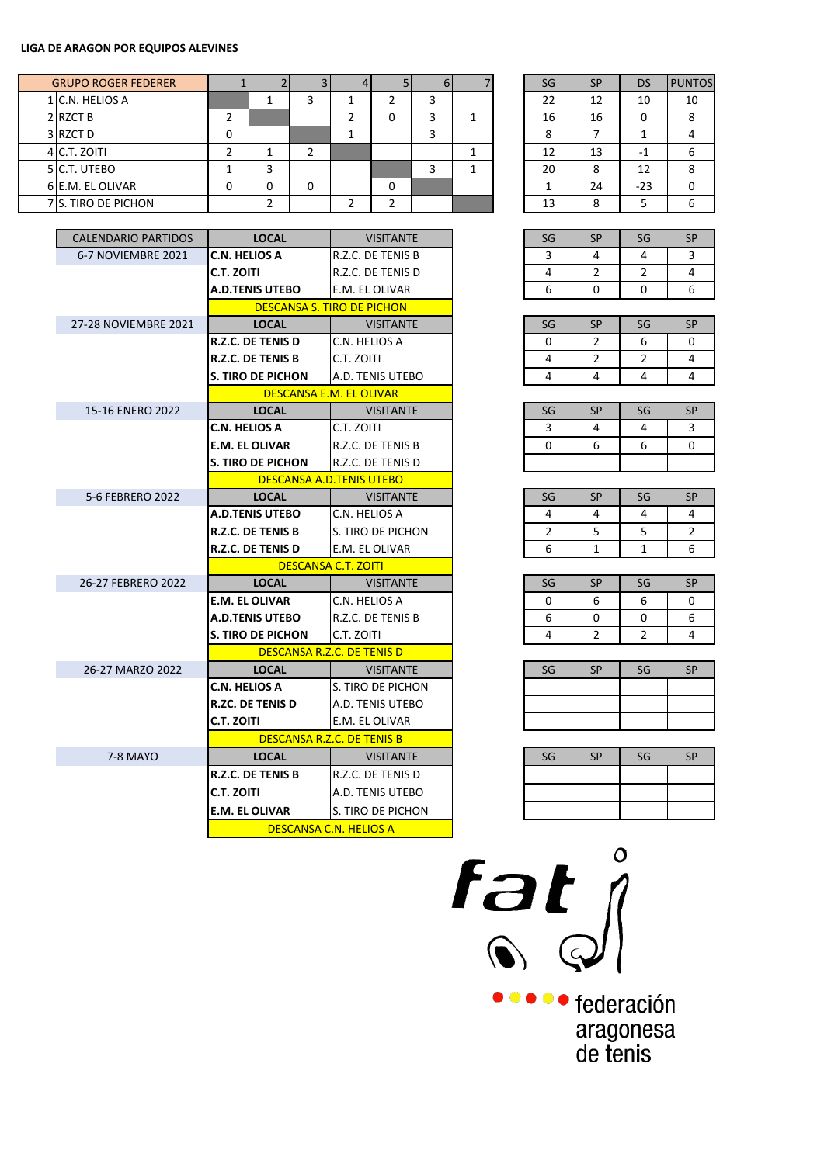## **LIGA DE ARAGON POR EQUIPOS ALEVINES**

| <b>GRUPO ROGER FEDERER</b> |  |   |  | D |  | SG | <b>SP</b> | DS    | <b>PUNTOS</b> |
|----------------------------|--|---|--|---|--|----|-----------|-------|---------------|
| 1 C.N. HELIOS A            |  |   |  |   |  | 22 | 12        | 10    | 10            |
| 2 RZCT B                   |  |   |  |   |  | 16 | 16        | 0     |               |
| 3 RZCT D                   |  |   |  |   |  | 8  |           |       |               |
| 4 C.T. ZOITI               |  |   |  |   |  | 12 | 13        | $-1$  |               |
| 5 C.T. UTEBO               |  |   |  |   |  | 20 | 8         | 12    |               |
| 6 E.M. EL OLIVAR           |  | O |  |   |  |    | 24        | $-23$ | U             |
| 7 S. TIRO DE PICHON        |  |   |  |   |  | 13 | $\circ$   |       |               |

| <b>CALENDARIO PARTIDOS</b> | <b>LOCAL</b>             | <b>VISITANTE</b>                  | SG       | <b>SP</b>      | SG             | <b>SP</b> |
|----------------------------|--------------------------|-----------------------------------|----------|----------------|----------------|-----------|
| 6-7 NOVIEMBRE 2021         | <b>C.N. HELIOS A</b>     | R.Z.C. DE TENIS B                 | 3        | 4              | 4              | 3         |
|                            | C.T. ZOITI               | R.Z.C. DE TENIS D                 | 4        | $\overline{2}$ | 2              | 4         |
|                            | <b>A.D.TENIS UTEBO</b>   | E.M. EL OLIVAR                    | 6        | $\Omega$       | $\Omega$       | 6         |
|                            |                          | <b>DESCANSA S. TIRO DE PICHON</b> |          |                |                |           |
| 27-28 NOVIEMBRE 2021       | <b>LOCAL</b>             | <b>VISITANTE</b>                  | SG       | <b>SP</b>      | SG             | <b>SP</b> |
|                            | <b>R.Z.C. DE TENIS D</b> | C.N. HELIOS A                     | $\Omega$ | $\mathcal{P}$  | 6              | 0         |
|                            | <b>R.Z.C. DE TENIS B</b> | C.T. ZOITI                        | 4        | $\overline{2}$ | $\overline{2}$ | 4         |
|                            | <b>S. TIRO DE PICHON</b> | A.D. TENIS UTEBO                  | 4        | 4              | 4              | 4         |
|                            |                          | DESCANSA E.M. EL OLIVAR           |          |                |                |           |
| 15-16 ENERO 2022           | <b>LOCAL</b>             | <b>VISITANTE</b>                  | SG       | <b>SP</b>      | SG             | <b>SP</b> |
|                            | <b>C.N. HELIOS A</b>     | C.T. ZOITI                        | 3        | 4              | 4              | 3         |
|                            | <b>E.M. EL OLIVAR</b>    | R.Z.C. DE TENIS B                 | $\Omega$ | 6              | 6              | 0         |
|                            | <b>S. TIRO DE PICHON</b> | R.Z.C. DE TENIS D                 |          |                |                |           |
|                            |                          | <b>DESCANSA A.D.TENIS UTEBO</b>   |          |                |                |           |
| 5-6 FEBRERO 2022           | <b>LOCAL</b>             | <b>VISITANTE</b>                  | SG       | <b>SP</b>      | SG             | <b>SP</b> |
|                            | <b>A.D.TENIS UTEBO</b>   | C.N. HELIOS A                     | 4        | 4              | 4              | 4         |
|                            | <b>R.Z.C. DE TENIS B</b> | S. TIRO DE PICHON                 | 2        | 5              | 5              | 2         |
|                            | <b>R.Z.C. DE TENIS D</b> | E.M. EL OLIVAR                    | 6        | $\mathbf{1}$   | 1              | 6         |
|                            |                          | <b>DESCANSA C.T. ZOITI</b>        |          |                |                |           |
| 26-27 FEBRERO 2022         | <b>LOCAL</b>             | <b>VISITANTE</b>                  | SG       | <b>SP</b>      | SG             | <b>SP</b> |
|                            | <b>E.M. EL OLIVAR</b>    | C.N. HELIOS A                     | $\Omega$ | 6              | 6              | 0         |
|                            | <b>A.D.TENIS UTEBO</b>   | R.Z.C. DE TENIS B                 | 6        | 0              | 0              | 6         |
|                            | <b>S. TIRO DE PICHON</b> | C.T. ZOITI                        | 4        | $\overline{2}$ | $\overline{2}$ | 4         |
|                            |                          | DESCANSA R.Z.C. DE TENIS D        |          |                |                |           |
| 26-27 MARZO 2022           | <b>LOCAL</b>             | <b>VISITANTE</b>                  | SG       | <b>SP</b>      | SG             | <b>SP</b> |
|                            | <b>C.N. HELIOS A</b>     | S. TIRO DE PICHON                 |          |                |                |           |
|                            | <b>R.ZC. DE TENIS D</b>  | A.D. TENIS UTEBO                  |          |                |                |           |
|                            | <b>C.T. ZOITI</b>        | E.M. EL OLIVAR                    |          |                |                |           |
|                            |                          | <b>DESCANSA R.Z.C. DE TENIS B</b> |          |                |                |           |
| 7-8 MAYO                   | <b>LOCAL</b>             | <b>VISITANTE</b>                  | SG       | <b>SP</b>      | SG             | <b>SP</b> |
|                            | <b>R.Z.C. DE TENIS B</b> | R.Z.C. DE TENIS D                 |          |                |                |           |
|                            | <b>C.T. ZOITI</b>        | A.D. TENIS UTEBO                  |          |                |                |           |
|                            | <b>E.M. EL OLIVAR</b>    | S. TIRO DE PICHON                 |          |                |                |           |
|                            |                          | <b>DESCANSA C.N. HELIOS A</b>     |          |                |                |           |

| SG | <b>SP</b> | <b>DS</b> | <b>PUNTOS</b> |
|----|-----------|-----------|---------------|
| 22 | 12        | 10        | 10            |
| 16 | 16        | ٥         | 8             |
| 8  |           |           |               |
| 12 | 13        | -1        | 6             |
| 20 | 8         | 12        | 8             |
|    | 24        | $-23$     | 0             |
| 13 | 8         | 5         |               |

| SG | SP | SG | <b>SD</b> |
|----|----|----|-----------|
|    |    |    |           |
|    |    |    |           |
|    |    |    | հ         |

| SG | SP | SG | <b>SP</b> |
|----|----|----|-----------|
| П  |    | h  |           |
|    |    |    |           |
|    |    |    |           |

| SG | SP | SG | SP |
|----|----|----|----|
| 2  |    |    |    |
|    |    | հ  |    |
|    |    |    |    |

| SG | SΡ | SG | SΡ |
|----|----|----|----|
|    |    |    |    |
|    |    |    |    |
|    |    |    |    |

| SΡ<br>SG<br>SG | <b>SP</b> |
|----------------|-----------|
| հ<br>6<br>0    | 0         |
| հ<br>U         | 6         |
|                |           |

| SG | SΡ | SG | SΡ |
|----|----|----|----|
|    |    |    |    |
|    |    |    |    |
|    |    |    |    |

| SG | <b>SP</b> | SG | <b>SP</b> |
|----|-----------|----|-----------|
|    |           |    |           |
|    |           |    |           |
|    |           |    |           |



 $\bullet\bullet\bullet\bullet$ federación aragonesa<br>de tenis